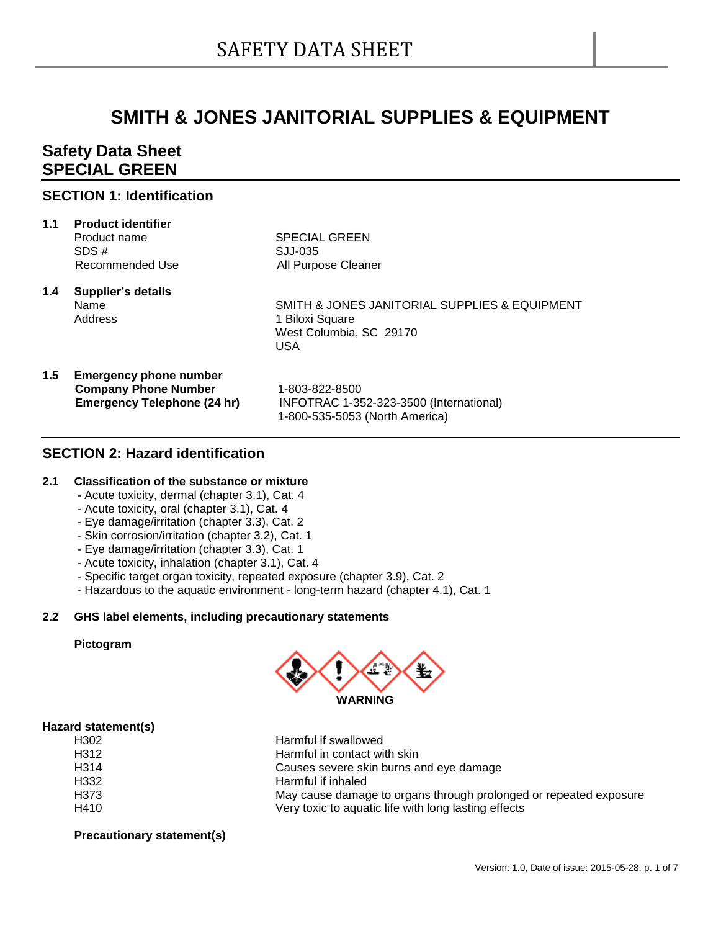# **SMITH & JONES JANITORIAL SUPPLIES & EQUIPMENT**

## **Safety Data Sheet SPECIAL GREEN**

## **SECTION 1: Identification**

| 1.1 | <b>Product identifier</b><br>Product name<br>SDS#<br>Recommended Use                               | <b>SPECIAL GREEN</b><br>SJJ-035<br>All Purpose Cleaner                                                    |
|-----|----------------------------------------------------------------------------------------------------|-----------------------------------------------------------------------------------------------------------|
| 1.4 | Supplier's details<br>Name<br>Address                                                              | SMITH & JONES JANITORIAL SUPPLIES & EQUIPMENT<br>1 Biloxi Square<br>West Columbia, SC 29170<br><b>USA</b> |
| 1.5 | <b>Emergency phone number</b><br><b>Company Phone Number</b><br><b>Emergency Telephone (24 hr)</b> | 1-803-822-8500<br>INFOTRAC 1-352-323-3500 (International)<br>1-800-535-5053 (North America)               |

## **SECTION 2: Hazard identification**

#### **2.1 Classification of the substance or mixture**

- Acute toxicity, dermal (chapter 3.1), Cat. 4
- Acute toxicity, oral (chapter 3.1), Cat. 4
- Eye damage/irritation (chapter 3.3), Cat. 2
- Skin corrosion/irritation (chapter 3.2), Cat. 1
- Eye damage/irritation (chapter 3.3), Cat. 1
- Acute toxicity, inhalation (chapter 3.1), Cat. 4
- Specific target organ toxicity, repeated exposure (chapter 3.9), Cat. 2
- Hazardous to the aquatic environment long-term hazard (chapter 4.1), Cat. 1

## **2.2 GHS label elements, including precautionary statements**

#### **Pictogram**



#### **Hazard statement(s)**

| H302 | Harmful if swallowed                                              |
|------|-------------------------------------------------------------------|
| H312 | Harmful in contact with skin                                      |
| H314 | Causes severe skin burns and eye damage                           |
| H332 | Harmful if inhaled                                                |
| H373 | May cause damage to organs through prolonged or repeated exposure |
| H410 | Very toxic to aquatic life with long lasting effects              |
|      |                                                                   |

**Precautionary statement(s)**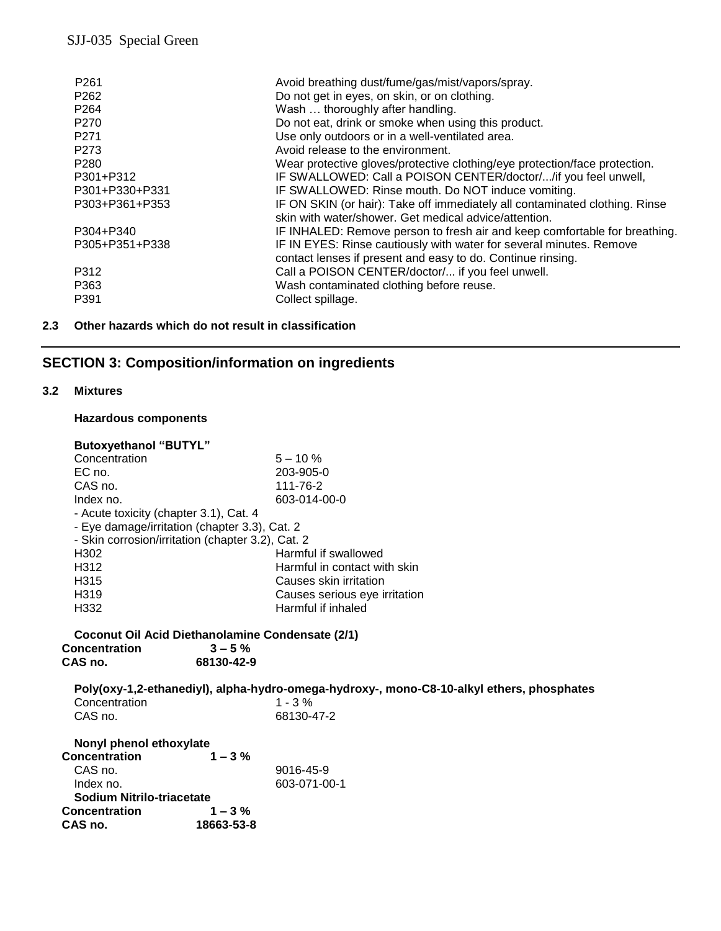| P <sub>261</sub> | Avoid breathing dust/fume/gas/mist/vapors/spray.                            |
|------------------|-----------------------------------------------------------------------------|
| P <sub>262</sub> | Do not get in eyes, on skin, or on clothing.                                |
| P <sub>264</sub> | Wash  thoroughly after handling.                                            |
| P <sub>270</sub> | Do not eat, drink or smoke when using this product.                         |
| P <sub>271</sub> | Use only outdoors or in a well-ventilated area.                             |
| P <sub>273</sub> | Avoid release to the environment.                                           |
| P <sub>280</sub> | Wear protective gloves/protective clothing/eye protection/face protection.  |
| P301+P312        | IF SWALLOWED: Call a POISON CENTER/doctor//if you feel unwell,              |
| P301+P330+P331   | IF SWALLOWED: Rinse mouth. Do NOT induce vomiting.                          |
| P303+P361+P353   | IF ON SKIN (or hair): Take off immediately all contaminated clothing. Rinse |
|                  | skin with water/shower. Get medical advice/attention.                       |
| P304+P340        | IF INHALED: Remove person to fresh air and keep comfortable for breathing.  |
| P305+P351+P338   | IF IN EYES: Rinse cautiously with water for several minutes. Remove         |
|                  | contact lenses if present and easy to do. Continue rinsing.                 |
| P312             | Call a POISON CENTER/doctor/ if you feel unwell.                            |
| P363             | Wash contaminated clothing before reuse.                                    |
| P391             | Collect spillage.                                                           |
|                  |                                                                             |

## **2.3 Other hazards which do not result in classification**

## **SECTION 3: Composition/information on ingredients**

#### **3.2 Mixtures**

### **Hazardous components**

| <b>Butoxyethanol "BUTYL"</b>                      |                               |  |
|---------------------------------------------------|-------------------------------|--|
| Concentration                                     | $5 - 10 \%$                   |  |
| EC no.                                            | 203-905-0                     |  |
| CAS no.                                           | 111-76-2                      |  |
| Index no.                                         | 603-014-00-0                  |  |
| - Acute toxicity (chapter 3.1), Cat. 4            |                               |  |
| - Eye damage/irritation (chapter 3.3), Cat. 2     |                               |  |
| - Skin corrosion/irritation (chapter 3.2), Cat. 2 |                               |  |
| H302                                              | Harmful if swallowed          |  |
| H312                                              | Harmful in contact with skin  |  |
| H315                                              | Causes skin irritation        |  |
| H <sub>319</sub>                                  | Causes serious eye irritation |  |
| H332                                              | Harmful if inhaled            |  |

#### **Coconut Oil Acid Diethanolamine Condensate (2/1) Concentration CAS no. CAS no. 68130-42-9**

| GAS NO.                                         | 08130-42-9 |                                                                                           |
|-------------------------------------------------|------------|-------------------------------------------------------------------------------------------|
|                                                 |            | Poly(oxy-1,2-ethanediyl), alpha-hydro-omega-hydroxy-, mono-C8-10-alkyl ethers, phosphates |
| Concentration                                   |            | $1 - 3%$                                                                                  |
| CAS no.                                         |            | 68130-47-2                                                                                |
| Nonyl phenol ethoxylate<br><b>Concentration</b> | $1 - 3 \%$ |                                                                                           |

| --------------            |            |                 |
|---------------------------|------------|-----------------|
| CAS no.                   |            | $9016 - 45 - 9$ |
| Index no.                 |            | 603-071-00-1    |
| Sodium Nitrilo-triacetate |            |                 |
| <b>Concentration</b>      | $1 - 3\%$  |                 |
| CAS no.                   | 18663-53-8 |                 |
|                           |            |                 |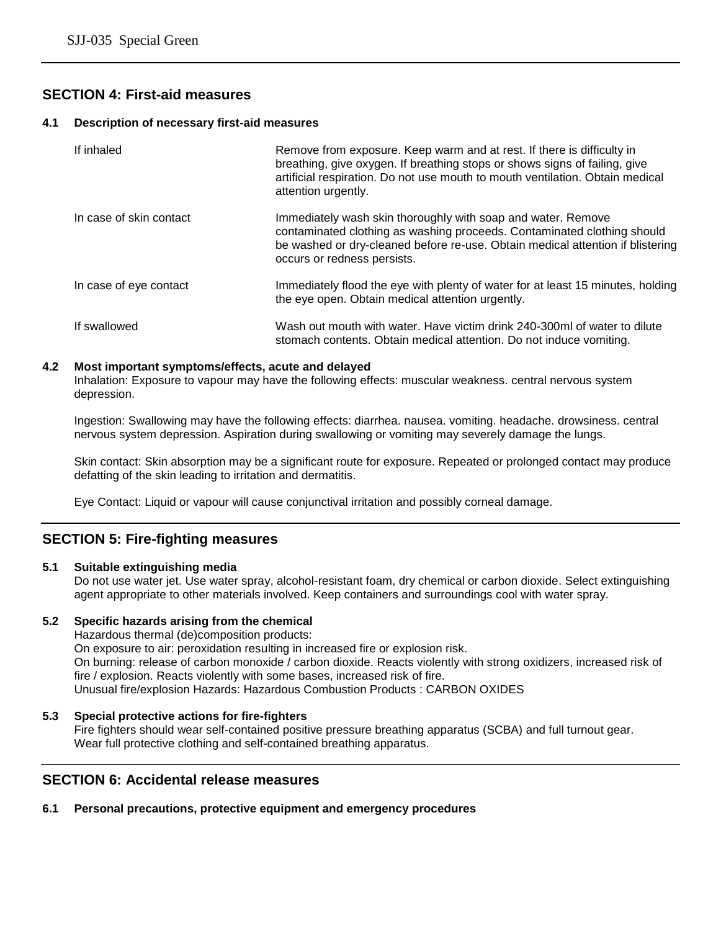## **SECTION 4: First-aid measures**

#### **4.1 Description of necessary first-aid measures**

| If inhaled              | Remove from exposure. Keep warm and at rest. If there is difficulty in<br>breathing, give oxygen. If breathing stops or shows signs of failing, give<br>artificial respiration. Do not use mouth to mouth ventilation. Obtain medical<br>attention urgently. |
|-------------------------|--------------------------------------------------------------------------------------------------------------------------------------------------------------------------------------------------------------------------------------------------------------|
| In case of skin contact | Immediately wash skin thoroughly with soap and water. Remove<br>contaminated clothing as washing proceeds. Contaminated clothing should<br>be washed or dry-cleaned before re-use. Obtain medical attention if blistering<br>occurs or redness persists.     |
| In case of eye contact  | Immediately flood the eye with plenty of water for at least 15 minutes, holding<br>the eye open. Obtain medical attention urgently.                                                                                                                          |
| If swallowed            | Wash out mouth with water. Have victim drink 240-300ml of water to dilute<br>stomach contents. Obtain medical attention. Do not induce vomiting.                                                                                                             |

#### **4.2 Most important symptoms/effects, acute and delayed**

Inhalation: Exposure to vapour may have the following effects: muscular weakness. central nervous system depression.

Ingestion: Swallowing may have the following effects: diarrhea. nausea. vomiting. headache. drowsiness. central nervous system depression. Aspiration during swallowing or vomiting may severely damage the lungs.

Skin contact: Skin absorption may be a significant route for exposure. Repeated or prolonged contact may produce defatting of the skin leading to irritation and dermatitis.

Eye Contact: Liquid or vapour will cause conjunctival irritation and possibly corneal damage.

## **SECTION 5: Fire-fighting measures**

#### **5.1 Suitable extinguishing media**

Do not use water jet. Use water spray, alcohol-resistant foam, dry chemical or carbon dioxide. Select extinguishing agent appropriate to other materials involved. Keep containers and surroundings cool with water spray.

#### **5.2 Specific hazards arising from the chemical**

Hazardous thermal (de)composition products: On exposure to air: peroxidation resulting in increased fire or explosion risk. On burning: release of carbon monoxide / carbon dioxide. Reacts violently with strong oxidizers, increased risk of fire / explosion. Reacts violently with some bases, increased risk of fire. Unusual fire/explosion Hazards: Hazardous Combustion Products : CARBON OXIDES

#### **5.3 Special protective actions for fire-fighters**

Fire fighters should wear self-contained positive pressure breathing apparatus (SCBA) and full turnout gear. Wear full protective clothing and self-contained breathing apparatus.

## **SECTION 6: Accidental release measures**

#### **6.1 Personal precautions, protective equipment and emergency procedures**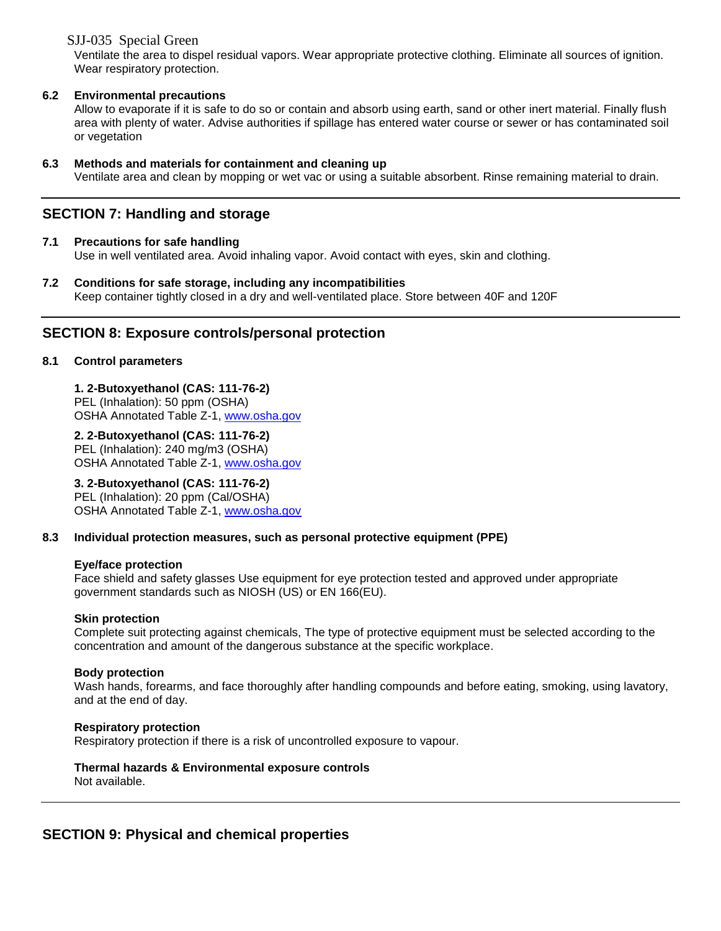SJJ-035 Special Green

Ventilate the area to dispel residual vapors. Wear appropriate protective clothing. Eliminate all sources of ignition. Wear respiratory protection.

## **6.2 Environmental precautions**

Allow to evaporate if it is safe to do so or contain and absorb using earth, sand or other inert material. Finally flush area with plenty of water. Advise authorities if spillage has entered water course or sewer or has contaminated soil or vegetation

### **6.3 Methods and materials for containment and cleaning up**

Ventilate area and clean by mopping or wet vac or using a suitable absorbent. Rinse remaining material to drain.

## **SECTION 7: Handling and storage**

## **7.1 Precautions for safe handling**

Use in well ventilated area. Avoid inhaling vapor. Avoid contact with eyes, skin and clothing.

**7.2 Conditions for safe storage, including any incompatibilities** Keep container tightly closed in a dry and well-ventilated place. Store between 40F and 120F

## **SECTION 8: Exposure controls/personal protection**

### **8.1 Control parameters**

**1. 2-Butoxyethanol (CAS: 111-76-2)** 

PEL (Inhalation): 50 ppm (OSHA) OSHA Annotated Table Z-1, [www.osha.gov](http://www.osha.gov/)

### **2. 2-Butoxyethanol (CAS: 111-76-2)**

PEL (Inhalation): 240 mg/m3 (OSHA) OSHA Annotated Table Z-1, [www.osha.gov](http://www.osha.gov/)

## **3. 2-Butoxyethanol (CAS: 111-76-2)**

PEL (Inhalation): 20 ppm (Cal/OSHA) OSHA Annotated Table Z-1, [www.osha.gov](http://www.osha.gov/)

#### **8.3 Individual protection measures, such as personal protective equipment (PPE)**

#### **Eye/face protection**

Face shield and safety glasses Use equipment for eye protection tested and approved under appropriate government standards such as NIOSH (US) or EN 166(EU).

#### **Skin protection**

Complete suit protecting against chemicals, The type of protective equipment must be selected according to the concentration and amount of the dangerous substance at the specific workplace.

#### **Body protection**

Wash hands, forearms, and face thoroughly after handling compounds and before eating, smoking, using lavatory, and at the end of day.

#### **Respiratory protection**

Respiratory protection if there is a risk of uncontrolled exposure to vapour.

#### **Thermal hazards & Environmental exposure controls** Not available.

## **SECTION 9: Physical and chemical properties**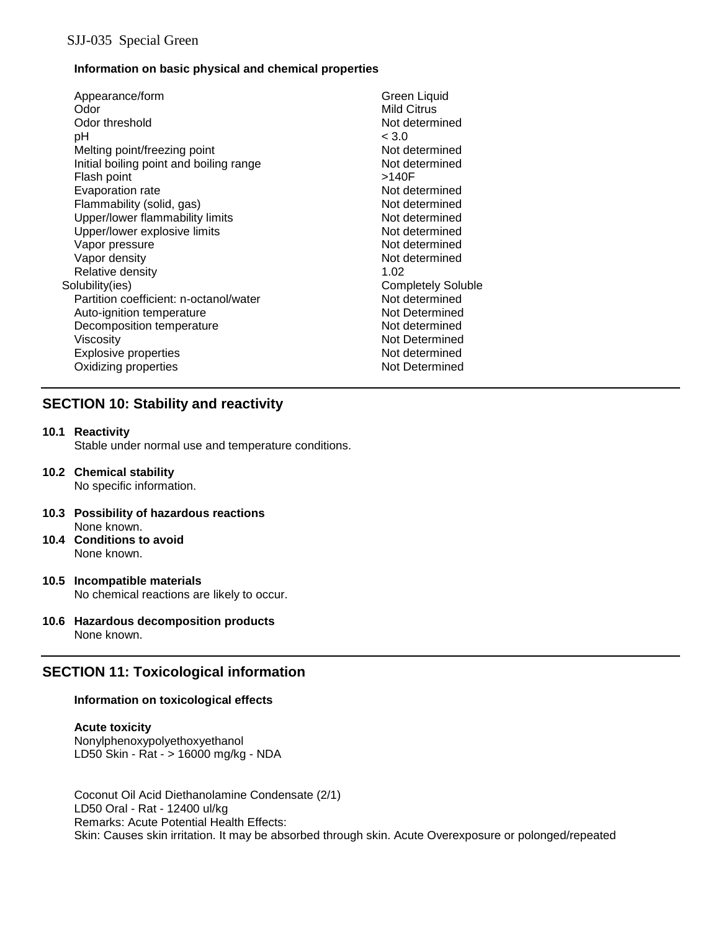## **Information on basic physical and chemical properties**

| Appearance/form                         | Green Liquid              |
|-----------------------------------------|---------------------------|
| Odor                                    | <b>Mild Citrus</b>        |
| Odor threshold                          | Not determined            |
| рH                                      | < 3.0                     |
| Melting point/freezing point            | Not determined            |
| Initial boiling point and boiling range | Not determined            |
| Flash point                             | >140F                     |
| Evaporation rate                        | Not determined            |
| Flammability (solid, gas)               | Not determined            |
| Upper/lower flammability limits         | Not determined            |
| Upper/lower explosive limits            | Not determined            |
| Vapor pressure                          | Not determined            |
| Vapor density                           | Not determined            |
| Relative density                        | 1.02                      |
| Solubility(ies)                         | <b>Completely Soluble</b> |
| Partition coefficient: n-octanol/water  | Not determined            |
| Auto-ignition temperature               | Not Determined            |
| Decomposition temperature               | Not determined            |
| Viscosity                               | Not Determined            |
| <b>Explosive properties</b>             | Not determined            |
| Oxidizing properties                    | Not Determined            |
|                                         |                           |

## **SECTION 10: Stability and reactivity**

#### **10.1 Reactivity**

Stable under normal use and temperature conditions.

- **10.2 Chemical stability** No specific information.
- **10.3 Possibility of hazardous reactions** None known.
- **10.4 Conditions to avoid** None known.
- **10.5 Incompatible materials** No chemical reactions are likely to occur.
- **10.6 Hazardous decomposition products** None known.

## **SECTION 11: Toxicological information**

## **Information on toxicological effects**

#### **Acute toxicity** Nonylphenoxypolyethoxyethanol LD50 Skin - Rat - > 16000 mg/kg - NDA

Coconut Oil Acid Diethanolamine Condensate (2/1) LD50 Oral - Rat - 12400 ul/kg Remarks: Acute Potential Health Effects: Skin: Causes skin irritation. It may be absorbed through skin. Acute Overexposure or polonged/repeated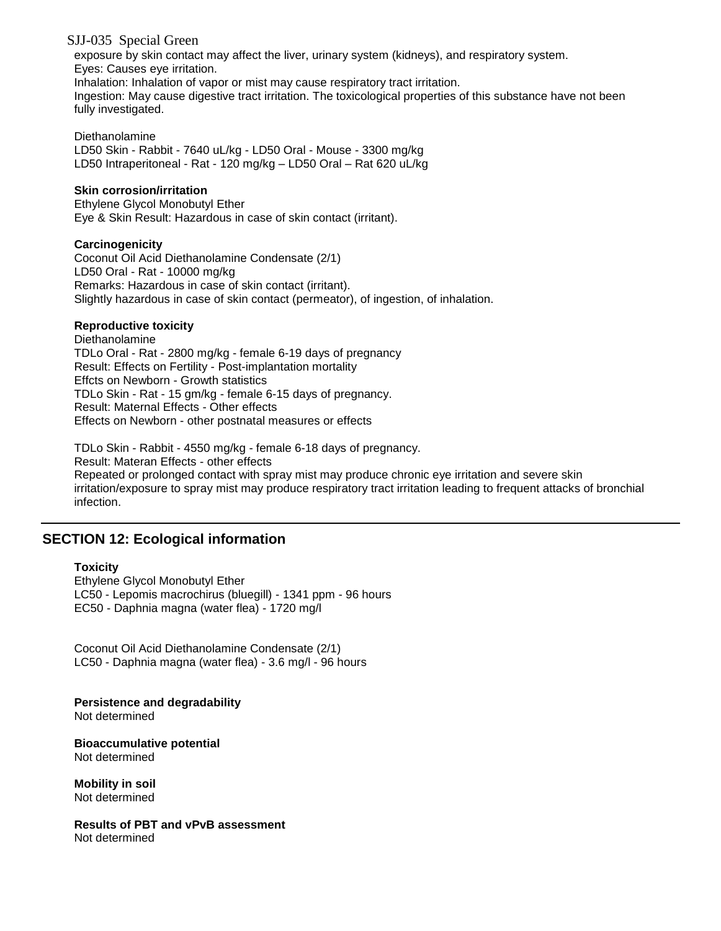## SJJ-035 Special Green

exposure by skin contact may affect the liver, urinary system (kidneys), and respiratory system. Eyes: Causes eye irritation.

Inhalation: Inhalation of vapor or mist may cause respiratory tract irritation.

Ingestion: May cause digestive tract irritation. The toxicological properties of this substance have not been fully investigated.

### Diethanolamine

LD50 Skin - Rabbit - 7640 uL/kg - LD50 Oral - Mouse - 3300 mg/kg LD50 Intraperitoneal - Rat - 120 mg/kg – LD50 Oral – Rat 620 uL/kg

### **Skin corrosion/irritation**

Ethylene Glycol Monobutyl Ether Eye & Skin Result: Hazardous in case of skin contact (irritant).

### **Carcinogenicity**

Coconut Oil Acid Diethanolamine Condensate (2/1) LD50 Oral - Rat - 10000 mg/kg Remarks: Hazardous in case of skin contact (irritant). Slightly hazardous in case of skin contact (permeator), of ingestion, of inhalation.

### **Reproductive toxicity**

Diethanolamine TDLo Oral - Rat - 2800 mg/kg - female 6-19 days of pregnancy Result: Effects on Fertility - Post-implantation mortality Effcts on Newborn - Growth statistics TDLo Skin - Rat - 15 gm/kg - female 6-15 days of pregnancy. Result: Maternal Effects - Other effects Effects on Newborn - other postnatal measures or effects

TDLo Skin - Rabbit - 4550 mg/kg - female 6-18 days of pregnancy. Result: Materan Effects - other effects Repeated or prolonged contact with spray mist may produce chronic eye irritation and severe skin irritation/exposure to spray mist may produce respiratory tract irritation leading to frequent attacks of bronchial infection.

## **SECTION 12: Ecological information**

#### **Toxicity**

Ethylene Glycol Monobutyl Ether LC50 - Lepomis macrochirus (bluegill) - 1341 ppm - 96 hours EC50 - Daphnia magna (water flea) - 1720 mg/l

Coconut Oil Acid Diethanolamine Condensate (2/1) LC50 - Daphnia magna (water flea) - 3.6 mg/l - 96 hours

**Persistence and degradability** Not determined

**Bioaccumulative potential** Not determined

**Mobility in soil** Not determined

**Results of PBT and vPvB assessment** Not determined